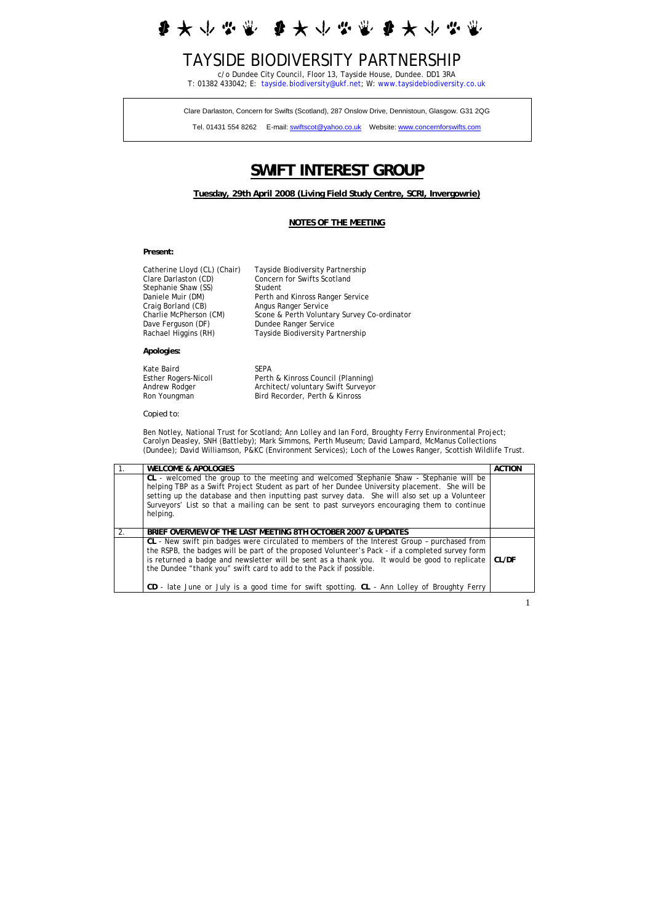大小些业 大小学堂 ■★↓☆☆ **J** 

# TAYSIDE BIODIVERSITY PARTNERSHIP

c/o Dundee City Council, Floor 13, Tayside House, Dundee. DD1 3RA T: 01382 433042; E: [tayside.biodiversity@ukf.net;](mailto:tayside.biodiversity@ukf.net) W: [www.taysidebiodiversity.co.uk](http://www.taysidebiodiversity.co.uk/)

Clare Darlaston, Concern for Swifts (Scotland), 287 Onslow Drive, Dennistoun, Glasgow. G31 2QG

Tel. 01431 554 8262 E-mail: [swiftscot@yahoo.co.uk](mailto:swiftscot@yahoo.co.uk) Website: [www.concernforswifts.com](http://www.concernforswifts.com/)

## **SWIFT INTEREST GROUP**

## **Tuesday, 29th April 2008 (Living Field Study Centre, SCRI, Invergowrie)**

### **NOTES OF THE MEETING**

#### **Present:**

| Catherine Lloyd (CL) (Chair) | Tayside Biodiversity Partnership            |
|------------------------------|---------------------------------------------|
| Clare Darlaston (CD)         | Concern for Swifts Scotland                 |
| Stephanie Shaw (SS)          | Student                                     |
| Daniele Muir (DM)            | Perth and Kinross Ranger Service            |
| Craig Borland (CB)           | Angus Ranger Service                        |
| Charlie McPherson (CM)       | Scone & Perth Voluntary Survey Co-ordinator |
| Dave Ferguson (DF)           | Dundee Ranger Service                       |
| Rachael Higgins (RH)         | Tayside Biodiversity Partnership            |
|                              |                                             |

#### **Apologies:**

| Kate Baird                  | <b>SEPA</b> |
|-----------------------------|-------------|
| <b>Esther Rogers-Nicoll</b> | Perth       |
| Andrew Rodger               | Archi       |
| Ron Youngman                | Bird F      |

Perth & Kinross Council (Planning) Architect/voluntary Swift Surveyor Bird Recorder, Perth & Kinross

#### *Copied to:*

Ben Notley, National Trust for Scotland; Ann Lolley and Ian Ford, Broughty Ferry Environmental Project; Carolyn Deasley, SNH (Battleby); Mark Simmons, Perth Museum; David Lampard, McManus Collections (Dundee); David Williamson, P&KC (Environment Services); Loch of the Lowes Ranger, Scottish Wildlife Trust.

|    | <b>WELCOME &amp; APOLOGIES</b>                                                                                                                                                                                                                                                                                                                                                                                                                                              | <b>ACTION</b> |
|----|-----------------------------------------------------------------------------------------------------------------------------------------------------------------------------------------------------------------------------------------------------------------------------------------------------------------------------------------------------------------------------------------------------------------------------------------------------------------------------|---------------|
|    | CL - welcomed the group to the meeting and welcomed Stephanie Shaw - Stephanie will be<br>helping TBP as a Swift Project Student as part of her Dundee University placement. She will be<br>setting up the database and then inputting past survey data. She will also set up a Volunteer<br>Surveyors' List so that a mailing can be sent to past surveyors encouraging them to continue<br>helping.                                                                       |               |
| 2. | BRIEF OVERVIEW OF THE LAST MEETING 8TH OCTOBER 2007 & UPDATES                                                                                                                                                                                                                                                                                                                                                                                                               |               |
|    | CL - New swift pin badges were circulated to members of the Interest Group - purchased from<br>the RSPB, the badges will be part of the proposed Volunteer's Pack - if a completed survey form<br>is returned a badge and newsletter will be sent as a thank you. It would be good to replicate   CL/DF<br>the Dundee "thank you" swift card to add to the Pack if possible.<br>CD - late June or July is a good time for swift spotting. CL - Ann Lolley of Broughty Ferry |               |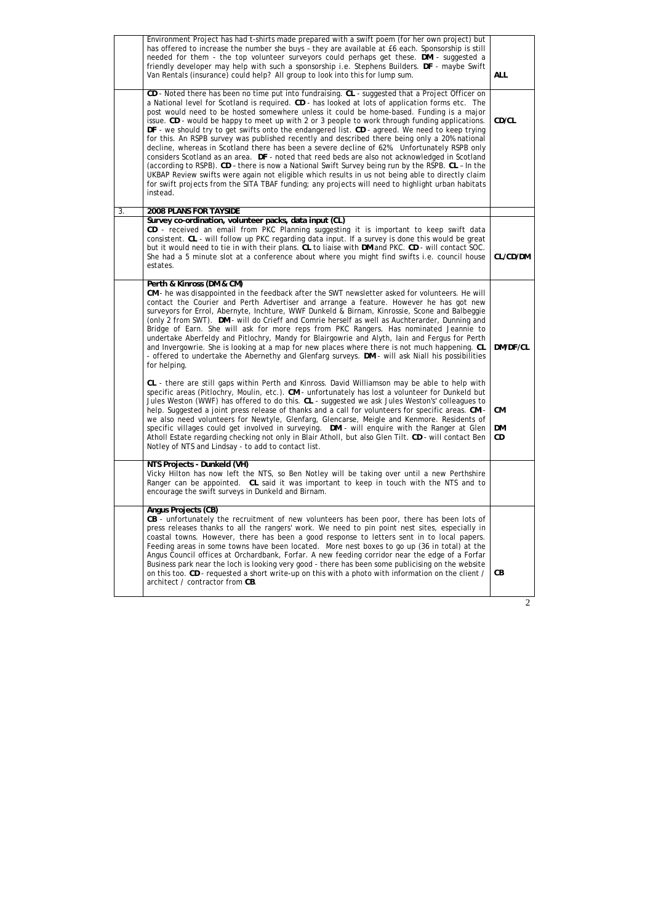|    | Environment Project has had t-shirts made prepared with a swift poem (for her own project) but<br>has offered to increase the number she buys - they are available at £6 each. Sponsorship is still<br>needed for them - the top volunteer surveyors could perhaps get these. DM - suggested a<br>friendly developer may help with such a sponsorship i.e. Stephens Builders. DF - maybe Swift<br>Van Rentals (insurance) could help? All group to look into this for lump sum.                                                                                                                                                                                                                                                                                                                                                                                                                                                                                                                                                                                                                                                   | <b>ALL</b>     |
|----|-----------------------------------------------------------------------------------------------------------------------------------------------------------------------------------------------------------------------------------------------------------------------------------------------------------------------------------------------------------------------------------------------------------------------------------------------------------------------------------------------------------------------------------------------------------------------------------------------------------------------------------------------------------------------------------------------------------------------------------------------------------------------------------------------------------------------------------------------------------------------------------------------------------------------------------------------------------------------------------------------------------------------------------------------------------------------------------------------------------------------------------|----------------|
|    | CD - Noted there has been no time put into fundraising. CL - suggested that a Project Officer on<br>a National level for Scotland is required. CD - has looked at lots of application forms etc. The<br>post would need to be hosted somewhere unless it could be home-based. Funding is a major<br>issue. CD - would be happy to meet up with 2 or 3 people to work through funding applications.<br>DF - we should try to get swifts onto the endangered list. CD - agreed. We need to keep trying<br>for this. An RSPB survey was published recently and described there being only a 20% national<br>decline, whereas in Scotland there has been a severe decline of 62%. Unfortunately RSPB only<br>considers Scotland as an area. DF - noted that reed beds are also not acknowledged in Scotland<br>(according to RSPB). CD - there is now a National Swift Survey being run by the RSPB. CL - In the<br>UKBAP Review swifts were again not eligible which results in us not being able to directly claim<br>for swift projects from the SITA TBAF funding; any projects will need to highlight urban habitats<br>instead. | CD/CL          |
| 3. | <b>2008 PLANS FOR TAYSIDE</b>                                                                                                                                                                                                                                                                                                                                                                                                                                                                                                                                                                                                                                                                                                                                                                                                                                                                                                                                                                                                                                                                                                     |                |
|    | Survey co-ordination, volunteer packs, data input (CL)<br>CD - received an email from PKC Planning suggesting it is important to keep swift data<br>consistent. CL - will follow up PKC regarding data input. If a survey is done this would be great<br>but it would need to tie in with their plans. CL to liaise with DM and PKC. CD - will contact SOC.<br>She had a 5 minute slot at a conference about where you might find swifts i.e. council house<br>estates.                                                                                                                                                                                                                                                                                                                                                                                                                                                                                                                                                                                                                                                           | CL/CD/DM       |
|    | Perth & Kinross (DM & CM)<br>CM - he was disappointed in the feedback after the SWT newsletter asked for volunteers. He will<br>contact the Courier and Perth Advertiser and arrange a feature. However he has got new<br>surveyors for Errol, Abernyte, Inchture, WWF Dunkeld & Birnam, Kinrossie, Scone and Balbeggie<br>(only 2 from SWT). DM - will do Crieff and Comrie herself as well as Auchterarder, Dunning and<br>Bridge of Earn. She will ask for more reps from PKC Rangers. Has nominated Jeannie to<br>undertake Aberfeldy and Pitlochry, Mandy for Blairgowrie and Alyth, Iain and Fergus for Perth<br>and Invergowrie. She is looking at a map for new places where there is not much happening. CL<br>- offered to undertake the Abernethy and Glenfarg surveys. DM - will ask Niall his possibilities<br>for helping.                                                                                                                                                                                                                                                                                          | DM/DF/CL       |
|    | CL - there are still gaps within Perth and Kinross. David Williamson may be able to help with<br>specific areas (Pitlochry, Moulin, etc.). CM - unfortunately has lost a volunteer for Dunkeld but<br>Jules Weston (WWF) has offered to do this. CL - suggested we ask Jules Weston's' colleagues to<br>help. Suggested a joint press release of thanks and a call for volunteers for specific areas. CM -<br>we also need volunteers for Newtyle, Glenfarg, Glencarse, Meigle and Kenmore. Residents of<br>specific villages could get involved in surveying. DM - will enquire with the Ranger at Glen<br>Atholl Estate regarding checking not only in Blair Atholl, but also Glen Tilt. CD - will contact Ben<br>Notley of NTS and Lindsay - to add to contact list.                                                                                                                                                                                                                                                                                                                                                           | CM<br>DM<br>CD |
|    | NTS Projects - Dunkeld (VH)<br>Vicky Hilton has now left the NTS, so Ben Notley will be taking over until a new Perthshire<br>Ranger can be appointed. CL said it was important to keep in touch with the NTS and to<br>encourage the swift surveys in Dunkeld and Birnam.                                                                                                                                                                                                                                                                                                                                                                                                                                                                                                                                                                                                                                                                                                                                                                                                                                                        |                |
|    | Angus Projects (CB)<br>CB - unfortunately the recruitment of new volunteers has been poor, there has been lots of<br>press releases thanks to all the rangers' work. We need to pin point nest sites, especially in<br>coastal towns. However, there has been a good response to letters sent in to local papers.<br>Feeding areas in some towns have been located. More nest boxes to go up (36 in total) at the<br>Angus Council offices at Orchardbank, Forfar. A new feeding corridor near the edge of a Forfar<br>Business park near the loch is looking very good - there has been some publicising on the website<br>on this too. CD - requested a short write-up on this with a photo with information on the client /<br>architect / contractor from CB.                                                                                                                                                                                                                                                                                                                                                                 | CВ             |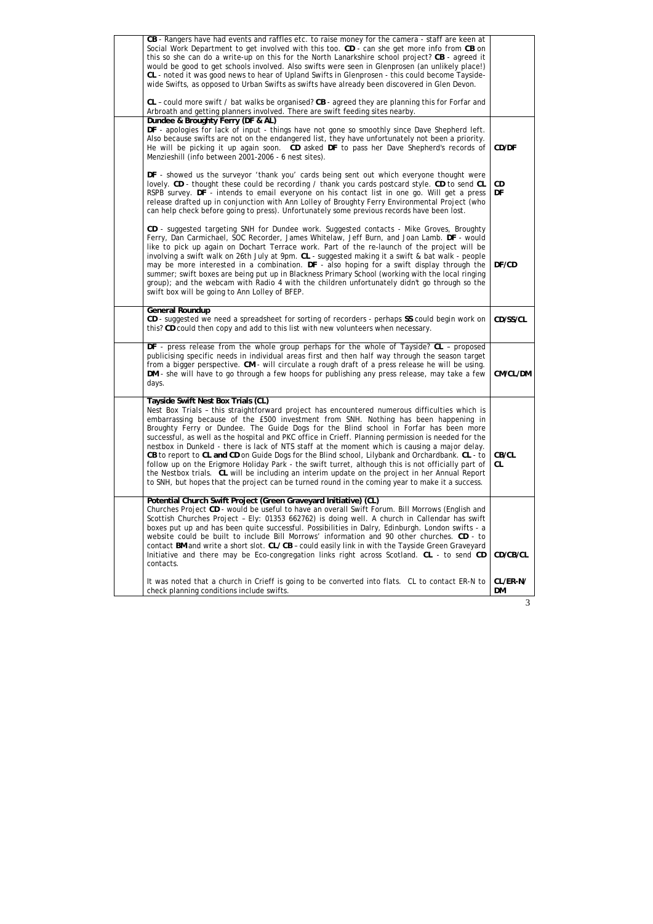| CB - Rangers have had events and raffles etc. to raise money for the camera - staff are keen at<br>Social Work Department to get involved with this too. CD - can she get more info from CB on<br>this so she can do a write-up on this for the North Lanarkshire school project? CB - agreed it<br>would be good to get schools involved. Also swifts were seen in Glenprosen (an unlikely place!)<br>CL - noted it was good news to hear of Upland Swifts in Glenprosen - this could become Tayside-<br>wide Swifts, as opposed to Urban Swifts as swifts have already been discovered in Glen Devon.                                                                                                                                                                                                                                                                                                                                   |                    |
|-------------------------------------------------------------------------------------------------------------------------------------------------------------------------------------------------------------------------------------------------------------------------------------------------------------------------------------------------------------------------------------------------------------------------------------------------------------------------------------------------------------------------------------------------------------------------------------------------------------------------------------------------------------------------------------------------------------------------------------------------------------------------------------------------------------------------------------------------------------------------------------------------------------------------------------------|--------------------|
| CL - could more swift / bat walks be organised? CB - agreed they are planning this for Forfar and<br>Arbroath and getting planners involved. There are swift feeding sites nearby.                                                                                                                                                                                                                                                                                                                                                                                                                                                                                                                                                                                                                                                                                                                                                        |                    |
| Dundee & Broughty Ferry (DF & AL)<br>DF - apologies for lack of input - things have not gone so smoothly since Dave Shepherd left.<br>Also because swifts are not on the endangered list, they have unfortunately not been a priority.<br>He will be picking it up again soon. CD asked DF to pass her Dave Shepherd's records of<br>Menzieshill (info between 2001-2006 - 6 nest sites).                                                                                                                                                                                                                                                                                                                                                                                                                                                                                                                                                 | CD/DF              |
| DF - showed us the surveyor 'thank you' cards being sent out which everyone thought were<br>lovely. CD - thought these could be recording / thank you cards postcard style. CD to send CL<br>RSPB survey. DF - intends to email everyone on his contact list in one go. Will get a press<br>release drafted up in conjunction with Ann Lolley of Broughty Ferry Environmental Project (who<br>can help check before going to press). Unfortunately some previous records have been lost.                                                                                                                                                                                                                                                                                                                                                                                                                                                  | CD<br>DF           |
| CD - suggested targeting SNH for Dundee work. Suggested contacts - Mike Groves, Broughty<br>Ferry, Dan Carmichael, SOC Recorder, James Whitelaw, Jeff Burn, and Joan Lamb. DF - would<br>like to pick up again on Dochart Terrace work. Part of the re-launch of the project will be<br>involving a swift walk on 26th July at 9pm. CL - suggested making it a swift & bat walk - people<br>may be more interested in a combination. DF - also hoping for a swift display through the<br>summer; swift boxes are being put up in Blackness Primary School (working with the local ringing<br>group); and the webcam with Radio 4 with the children unfortunately didn't go through so the<br>swift box will be going to Ann Lolley of BFEP.                                                                                                                                                                                               | DF/CD              |
| <b>General Roundup</b><br>CD - suggested we need a spreadsheet for sorting of recorders - perhaps SS could begin work on<br>this? CD could then copy and add to this list with new volunteers when necessary.                                                                                                                                                                                                                                                                                                                                                                                                                                                                                                                                                                                                                                                                                                                             | CD/SS/CL           |
| DF - press release from the whole group perhaps for the whole of Tayside? CL - proposed<br>publicising specific needs in individual areas first and then half way through the season target<br>from a bigger perspective. CM - will circulate a rough draft of a press release he will be using.<br>DM - she will have to go through a few hoops for publishing any press release, may take a few<br>days.                                                                                                                                                                                                                                                                                                                                                                                                                                                                                                                                | CM/CL/DM           |
| Tayside Swift Nest Box Trials (CL)<br>Nest Box Trials - this straightforward project has encountered numerous difficulties which is<br>embarrassing because of the £500 investment from SNH. Nothing has been happening in<br>Broughty Ferry or Dundee. The Guide Dogs for the Blind school in Forfar has been more<br>successful, as well as the hospital and PKC office in Crieff. Planning permission is needed for the<br>nestbox in Dunkeld - there is lack of NTS staff at the moment which is causing a major delay.<br>CB to report to CL and CD on Guide Dogs for the Blind school, Lilybank and Orchardbank. CL - to<br>follow up on the Erigmore Holiday Park - the swift turret, although this is not officially part of<br>the Nestbox trials. CL will be including an interim update on the project in her Annual Report<br>to SNH, but hopes that the project can be turned round in the coming year to make it a success. | CB/CL<br><b>CL</b> |
| Potential Church Swift Project (Green Graveyard Initiative) (CL)<br>Churches Project CD - would be useful to have an overall Swift Forum. Bill Morrows (English and<br>Scottish Churches Project - Ely: 01353 662762) is doing well. A church in Callendar has swift<br>boxes put up and has been quite successful. Possibilities in Dalry, Edinburgh. London swifts - a<br>website could be built to include Bill Morrows' information and 90 other churches. CD - to<br>contact BM and write a short slot. CL/ CB - could easily link in with the Tayside Green Graveyard<br>Initiative and there may be Eco-congregation links right across Scotland. CL - to send CD<br>contacts.                                                                                                                                                                                                                                                     | CD/CB/CL           |
| It was noted that a church in Crieff is going to be converted into flats. CL to contact ER-N to<br>check planning conditions include swifts.                                                                                                                                                                                                                                                                                                                                                                                                                                                                                                                                                                                                                                                                                                                                                                                              | CL/ER-N/<br>DM     |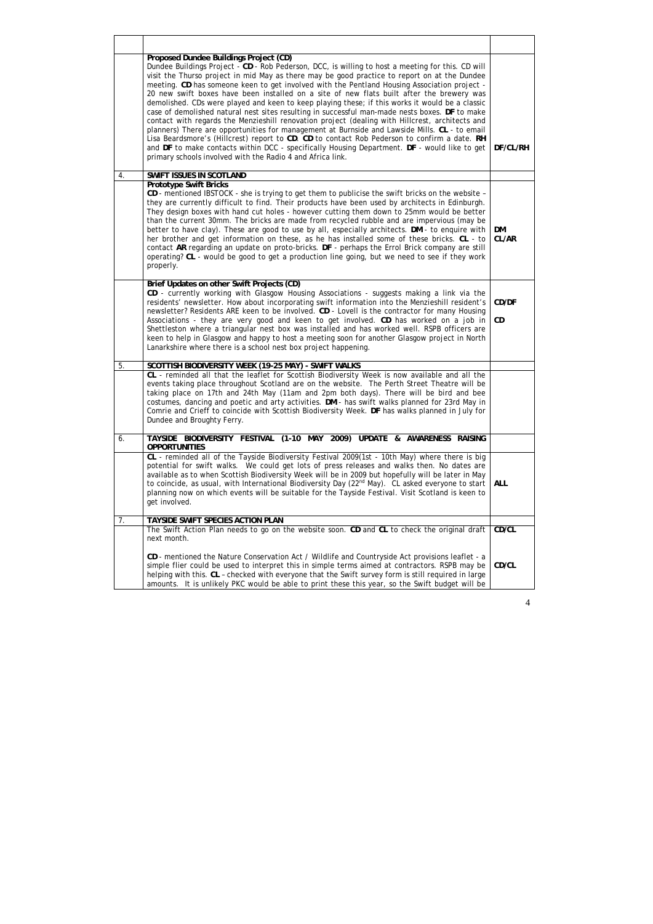|    | Proposed Dundee Buildings Project (CD)<br>Dundee Buildings Project - CD - Rob Pederson, DCC, is willing to host a meeting for this. CD will<br>visit the Thurso project in mid May as there may be good practice to report on at the Dundee<br>meeting. CD has someone keen to get involved with the Pentland Housing Association project -<br>20 new swift boxes have been installed on a site of new flats built after the brewery was<br>demolished. CDs were played and keen to keep playing these; if this works it would be a classic<br>case of demolished natural nest sites resulting in successful man-made nests boxes. DF to make<br>contact with regards the Menzieshill renovation project (dealing with Hillcrest, architects and<br>planners) There are opportunities for management at Burnside and Lawside Mills. CL - to email<br>Lisa Beardsmore's (Hillcrest) report to CD. CD to contact Rob Pederson to confirm a date. RH<br>and DF to make contacts within DCC - specifically Housing Department. DF - would like to get<br>primary schools involved with the Radio 4 and Africa link. | DF/CL/RH       |
|----|-----------------------------------------------------------------------------------------------------------------------------------------------------------------------------------------------------------------------------------------------------------------------------------------------------------------------------------------------------------------------------------------------------------------------------------------------------------------------------------------------------------------------------------------------------------------------------------------------------------------------------------------------------------------------------------------------------------------------------------------------------------------------------------------------------------------------------------------------------------------------------------------------------------------------------------------------------------------------------------------------------------------------------------------------------------------------------------------------------------------|----------------|
| 4. | <b>SWIFT ISSUES IN SCOTLAND</b>                                                                                                                                                                                                                                                                                                                                                                                                                                                                                                                                                                                                                                                                                                                                                                                                                                                                                                                                                                                                                                                                                 |                |
|    | <b>Prototype Swift Bricks</b><br>CD - mentioned IBSTOCK - she is trying to get them to publicise the swift bricks on the website -<br>they are currently difficult to find. Their products have been used by architects in Edinburgh.<br>They design boxes with hand cut holes - however cutting them down to 25mm would be better<br>than the current 30mm. The bricks are made from recycled rubble and are impervious (may be<br>better to have clay). These are good to use by all, especially architects. DM - to enquire with<br>her brother and get information on these, as he has installed some of these bricks. CL - to<br>contact AR regarding an update on proto-bricks. DF - perhaps the Errol Brick company are still<br>operating? CL - would be good to get a production line going, but we need to see if they work<br>properly.                                                                                                                                                                                                                                                              | DM<br>CL/AR    |
|    | Brief Updates on other Swift Projects (CD)<br>CD - currently working with Glasgow Housing Associations - suggests making a link via the<br>residents' newsletter. How about incorporating swift information into the Menzieshill resident's<br>newsletter? Residents ARE keen to be involved. CD - Lovell is the contractor for many Housing<br>Associations - they are very good and keen to get involved. CD has worked on a job in<br>Shettleston where a triangular nest box was installed and has worked well. RSPB officers are<br>keen to help in Glasgow and happy to host a meeting soon for another Glasgow project in North<br>Lanarkshire where there is a school nest box project happening.                                                                                                                                                                                                                                                                                                                                                                                                       | CD/DF<br>CD    |
| 5. | SCOTTISH BIODIVERSITY WEEK (19-25 MAY) - SWIFT WALKS                                                                                                                                                                                                                                                                                                                                                                                                                                                                                                                                                                                                                                                                                                                                                                                                                                                                                                                                                                                                                                                            |                |
|    | CL - reminded all that the leaflet for Scottish Biodiversity Week is now available and all the<br>events taking place throughout Scotland are on the website. The Perth Street Theatre will be<br>taking place on 17th and 24th May (11am and 2pm both days). There will be bird and bee<br>costumes, dancing and poetic and arty activities. DM - has swift walks planned for 23rd May in<br>Comrie and Crieff to coincide with Scottish Biodiversity Week. DF has walks planned in July for<br>Dundee and Broughty Ferry.                                                                                                                                                                                                                                                                                                                                                                                                                                                                                                                                                                                     |                |
| 6. | TAYSIDE BIODIVERSITY FESTIVAL (1-10 MAY 2009) UPDATE & AWARENESS RAISING<br><b>OPPORTUNITIES</b>                                                                                                                                                                                                                                                                                                                                                                                                                                                                                                                                                                                                                                                                                                                                                                                                                                                                                                                                                                                                                |                |
|    | CL - reminded all of the Tayside Biodiversity Festival 2009(1st - 10th May) where there is big<br>potential for swift walks. We could get lots of press releases and walks then. No dates are<br>available as to when Scottish Biodiversity Week will be in 2009 but hopefully will be later in May<br>to coincide, as usual, with International Biodiversity Day $(22^{nd}$ May). CL asked everyone to start<br>planning now on which events will be suitable for the Tayside Festival. Visit Scotland is keen to<br>get involved.                                                                                                                                                                                                                                                                                                                                                                                                                                                                                                                                                                             | <b>ALL</b>     |
| 7. | TAYSIDE SWIFT SPECIES ACTION PLAN                                                                                                                                                                                                                                                                                                                                                                                                                                                                                                                                                                                                                                                                                                                                                                                                                                                                                                                                                                                                                                                                               |                |
|    | The Swift Action Plan needs to go on the website soon. CD and CL to check the original draft<br>next month.<br>CD - mentioned the Nature Conservation Act / Wildlife and Countryside Act provisions leaflet - a<br>simple flier could be used to interpret this in simple terms aimed at contractors. RSPB may be<br>helping with this. CL - checked with everyone that the Swift survey form is still required in large                                                                                                                                                                                                                                                                                                                                                                                                                                                                                                                                                                                                                                                                                        | CD/CL<br>CD/CL |
|    | amounts. It is unlikely PKC would be able to print these this year, so the Swift budget will be                                                                                                                                                                                                                                                                                                                                                                                                                                                                                                                                                                                                                                                                                                                                                                                                                                                                                                                                                                                                                 |                |